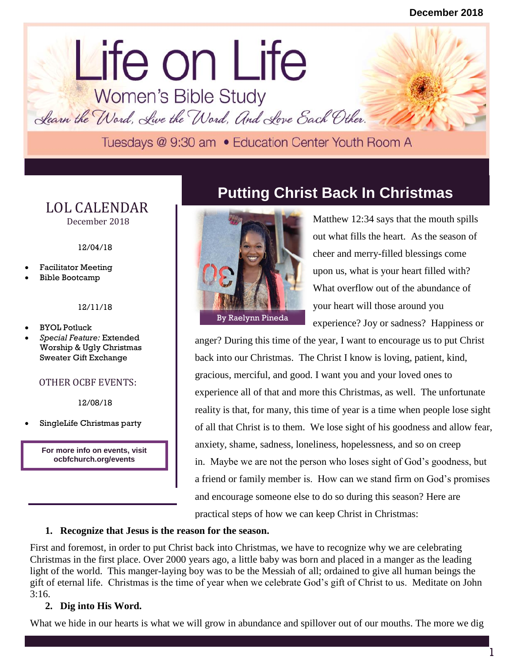# lorem in the contract of the contract of the contract of the contract of the contract of the contract of the contract of the contract of the contract of the contract of the contract of the contract of the contract of the c Life on Life<br>Women's Bible Study

Learn the Word, Live the Word, And Love Each Other.

#### LOL CALENDAR December 2018

12/04/18

- Facilitator Meeting
- Bible Bootcamp

#### 12/11/18

- BYOL Potluck
- *Special Feature:* Extended Worship & Ugly Christmas Sweater Gift Exchange

#### OTHER OCBF EVENTS:

12/08/18

SingleLife Christmas party

**For more info on events, visit ocbfchurch.org/events**

### **Putting Christ Back In Christmas**



Matthew 12:34 says that the mouth spills out what fills the heart. As the season of cheer and merry-filled blessings come upon us, what is your heart filled with? What overflow out of the abundance of your heart will those around you experience? Joy or sadness? Happiness or

anger? During this time of the year, I want to encourage us to put Christ anger? back into our Christmas. The Christ I know is loving, patient, kind, gracious, merciful, and good. I want you and your loved ones to experience all of that and more this Christmas, as well. The unfortunate reality is that, for many, this time of year is a time when people lose sight of all that Christ is to them. We lose sight of his goodness and allow fear, anxiety, shame, sadness, loneliness, hopelessness, and so on creep in. Maybe we are not the person who loses sight of God's goodness, but a friend or family member is. How can we stand firm on God's promises and encourage someone else to do so during this season? Here are practical steps of how we can keep Christ in Christmas:

#### **1. Recognize that Jesus is the reason for the season.**

First and foremost, in order to put Christ back into Christmas, we have to recognize why we are celebrating Christmas in the first place. Over 2000 years ago, a little baby was born and placed in a manger as the leading light of the world. This manger-laying boy was to be the Messiah of all; ordained to give all human beings the gift of eternal life. Christmas is the time of year when we celebrate God's gift of Christ to us. Meditate on John 3:16.

#### **2. Dig into His Word.**

What we hide in our hearts is what we will grow in abundance and spillover out of our mouths. The more we dig